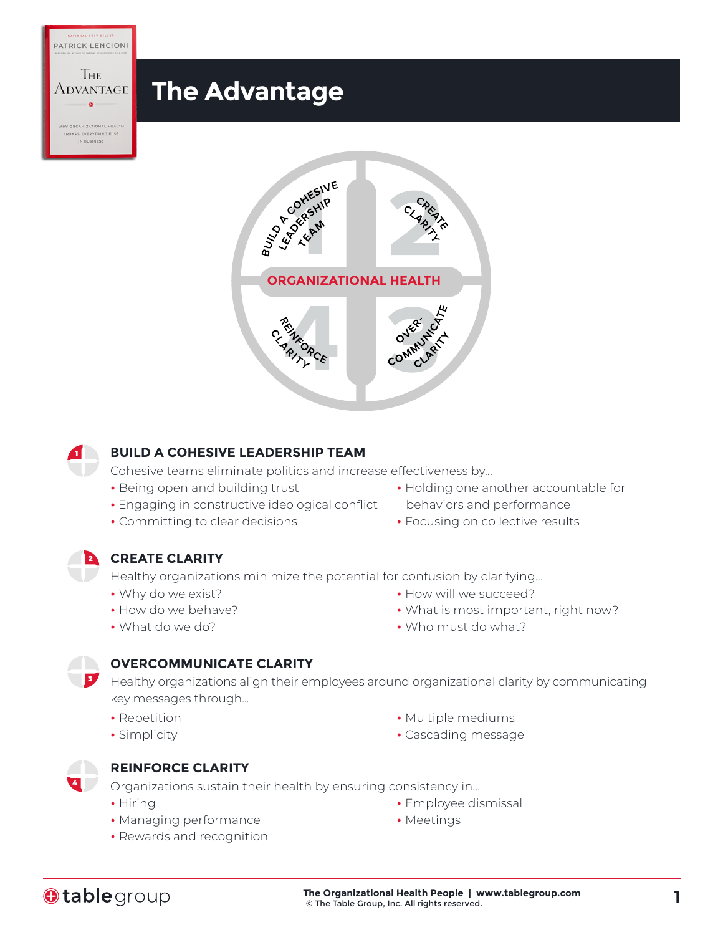



### **BUILD A COHESIVE LEADERSHIP TEAM**

Cohesive teams eliminate politics and increase effectiveness by...

- Being open and building trust
- Engaging in constructive ideological conflict
- Committing to clear decisions
- Holding one another accountable for behaviors and performance
- Focusing on collective results

### 2 **CREATE CLARITY**

Healthy organizations minimize the potential for confusion by clarifying...

- Why do we exist?
- How do we behave?
- What do we do?
- How will we succeed?
- What is most important, right now?
- Who must do what?

### **OVERCOMMUNICATE CLARITY**

Healthy organizations align their employees around organizational clarity by communicating key messages through...

- Repetition
- Simplicity
- 4

3

1

PATRICK LENCIONI

Тне

### **REINFORCE CLARITY**

Organizations sustain their health by ensuring consistency in...

- Hiring
- Managing performance
- Rewards and recognition
- Multiple mediums
- Cascading message

• Employee dismissal

• Meetings

**Otable** group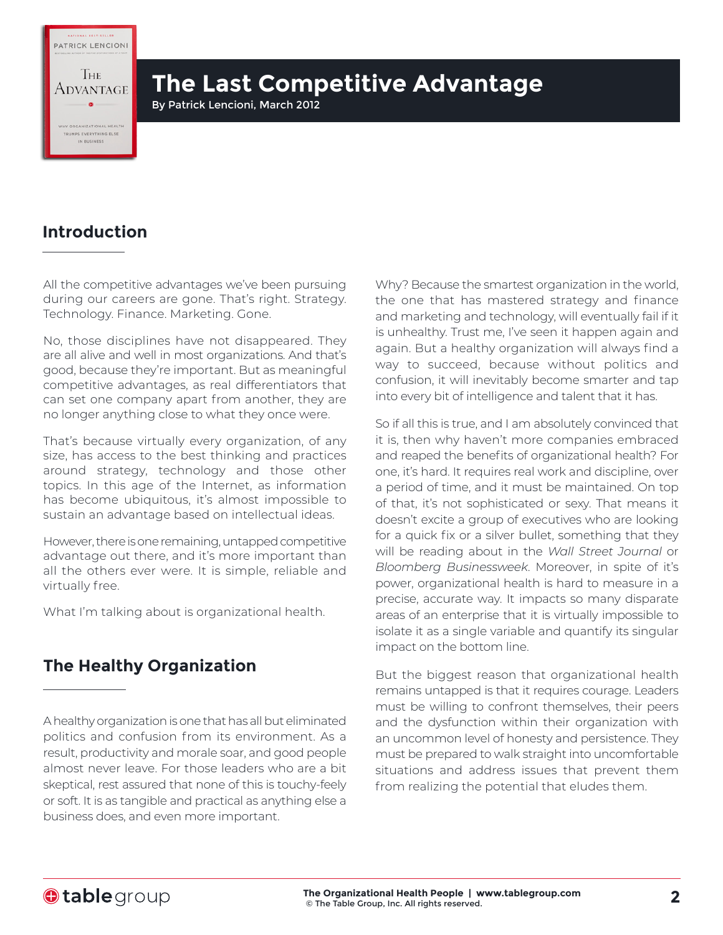PATRICK LENCIONI

**IHE** Advantage

EVERYTHING ELSE

# **The Last Competitive Advantage**

By Patrick Lencioni, March 2012

## **Introduction**

All the competitive advantages we've been pursuing during our careers are gone. That's right. Strategy. Technology. Finance. Marketing. Gone.

No, those disciplines have not disappeared. They are all alive and well in most organizations. And that's good, because they're important. But as meaningful competitive advantages, as real differentiators that can set one company apart from another, they are no longer anything close to what they once were.

That's because virtually every organization, of any size, has access to the best thinking and practices around strategy, technology and those other topics. In this age of the Internet, as information has become ubiquitous, it's almost impossible to sustain an advantage based on intellectual ideas.

However, there is one remaining, untapped competitive advantage out there, and it's more important than all the others ever were. It is simple, reliable and virtually free.

What I'm talking about is organizational health.

## **The Healthy Organization**

A healthy organization is one that has all but eliminated politics and confusion from its environment. As a result, productivity and morale soar, and good people almost never leave. For those leaders who are a bit skeptical, rest assured that none of this is touchy-feely or soft. It is as tangible and practical as anything else a business does, and even more important.

Why? Because the smartest organization in the world, the one that has mastered strategy and finance and marketing and technology, will eventually fail if it is unhealthy. Trust me, I've seen it happen again and again. But a healthy organization will always find a way to succeed, because without politics and confusion, it will inevitably become smarter and tap into every bit of intelligence and talent that it has.

So if all this is true, and I am absolutely convinced that it is, then why haven't more companies embraced and reaped the benefits of organizational health? For one, it's hard. It requires real work and discipline, over a period of time, and it must be maintained. On top of that, it's not sophisticated or sexy. That means it doesn't excite a group of executives who are looking for a quick fix or a silver bullet, something that they will be reading about in the *Wall Street Journal* or *Bloomberg Businessweek*. Moreover, in spite of it's power, organizational health is hard to measure in a precise, accurate way. It impacts so many disparate areas of an enterprise that it is virtually impossible to isolate it as a single variable and quantify its singular impact on the bottom line.

But the biggest reason that organizational health remains untapped is that it requires courage. Leaders must be willing to confront themselves, their peers and the dysfunction within their organization with an uncommon level of honesty and persistence. They must be prepared to walk straight into uncomfortable situations and address issues that prevent them from realizing the potential that eludes them.